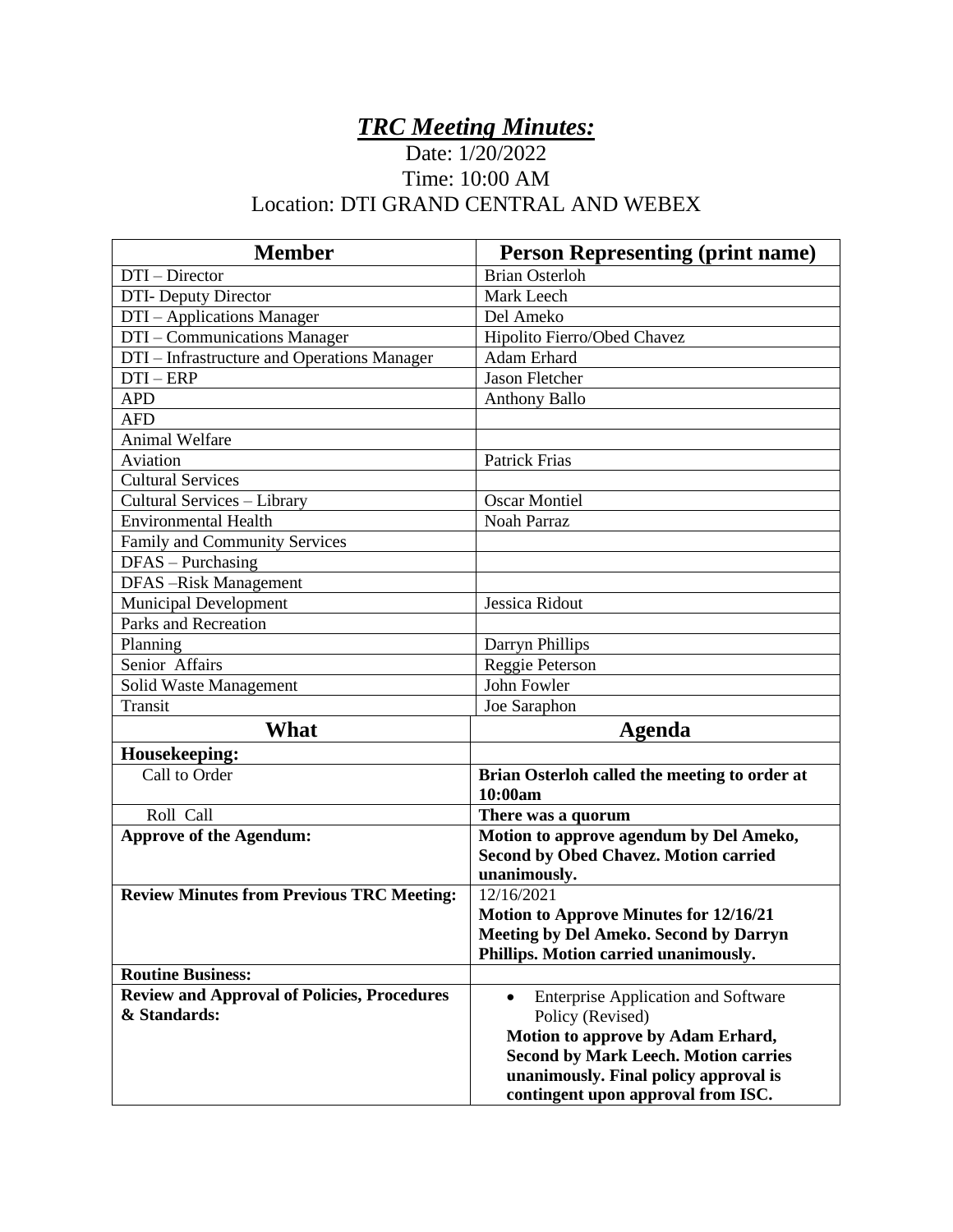## *TRC Meeting Minutes:*

## Date: 1/20/2022 Time: 10:00 AM Location: DTI GRAND CENTRAL AND WEBEX

| <b>Member</b>                                      | <b>Person Representing (print name)</b>                 |
|----------------------------------------------------|---------------------------------------------------------|
| DTI – Director                                     | <b>Brian Osterloh</b>                                   |
| <b>DTI-</b> Deputy Director                        | Mark Leech                                              |
| DTI - Applications Manager                         | Del Ameko                                               |
| DTI - Communications Manager                       | Hipolito Fierro/Obed Chavez                             |
| DTI – Infrastructure and Operations Manager        | Adam Erhard                                             |
| $DTI - ERP$                                        | Jason Fletcher                                          |
| <b>APD</b>                                         | <b>Anthony Ballo</b>                                    |
| <b>AFD</b>                                         |                                                         |
| <b>Animal Welfare</b>                              |                                                         |
| Aviation                                           | <b>Patrick Frias</b>                                    |
| <b>Cultural Services</b>                           |                                                         |
| Cultural Services - Library                        | <b>Oscar Montiel</b>                                    |
| <b>Environmental Health</b>                        | Noah Parraz                                             |
| Family and Community Services                      |                                                         |
| $DFAS - Purchasing$                                |                                                         |
| DFAS-Risk Management                               |                                                         |
| <b>Municipal Development</b>                       | Jessica Ridout                                          |
| Parks and Recreation                               |                                                         |
| Planning                                           | Darryn Phillips                                         |
| Senior Affairs                                     | Reggie Peterson                                         |
| Solid Waste Management                             | John Fowler                                             |
| Transit                                            | Joe Saraphon                                            |
| What                                               | Agenda                                                  |
| Housekeeping:                                      |                                                         |
| Call to Order                                      | Brian Osterloh called the meeting to order at           |
|                                                    | 10:00am                                                 |
| Roll Call                                          | There was a quorum                                      |
| <b>Approve of the Agendum:</b>                     | Motion to approve agendum by Del Ameko,                 |
|                                                    | <b>Second by Obed Chavez. Motion carried</b>            |
|                                                    | unanimously.                                            |
| <b>Review Minutes from Previous TRC Meeting:</b>   | 12/16/2021                                              |
|                                                    | <b>Motion to Approve Minutes for 12/16/21</b>           |
|                                                    | <b>Meeting by Del Ameko. Second by Darryn</b>           |
|                                                    | Phillips. Motion carried unanimously.                   |
| <b>Routine Business:</b>                           |                                                         |
| <b>Review and Approval of Policies, Procedures</b> | <b>Enterprise Application and Software</b><br>$\bullet$ |
| & Standards:                                       | Policy (Revised)                                        |
|                                                    | Motion to approve by Adam Erhard,                       |
|                                                    | <b>Second by Mark Leech. Motion carries</b>             |
|                                                    | unanimously. Final policy approval is                   |
|                                                    | contingent upon approval from ISC.                      |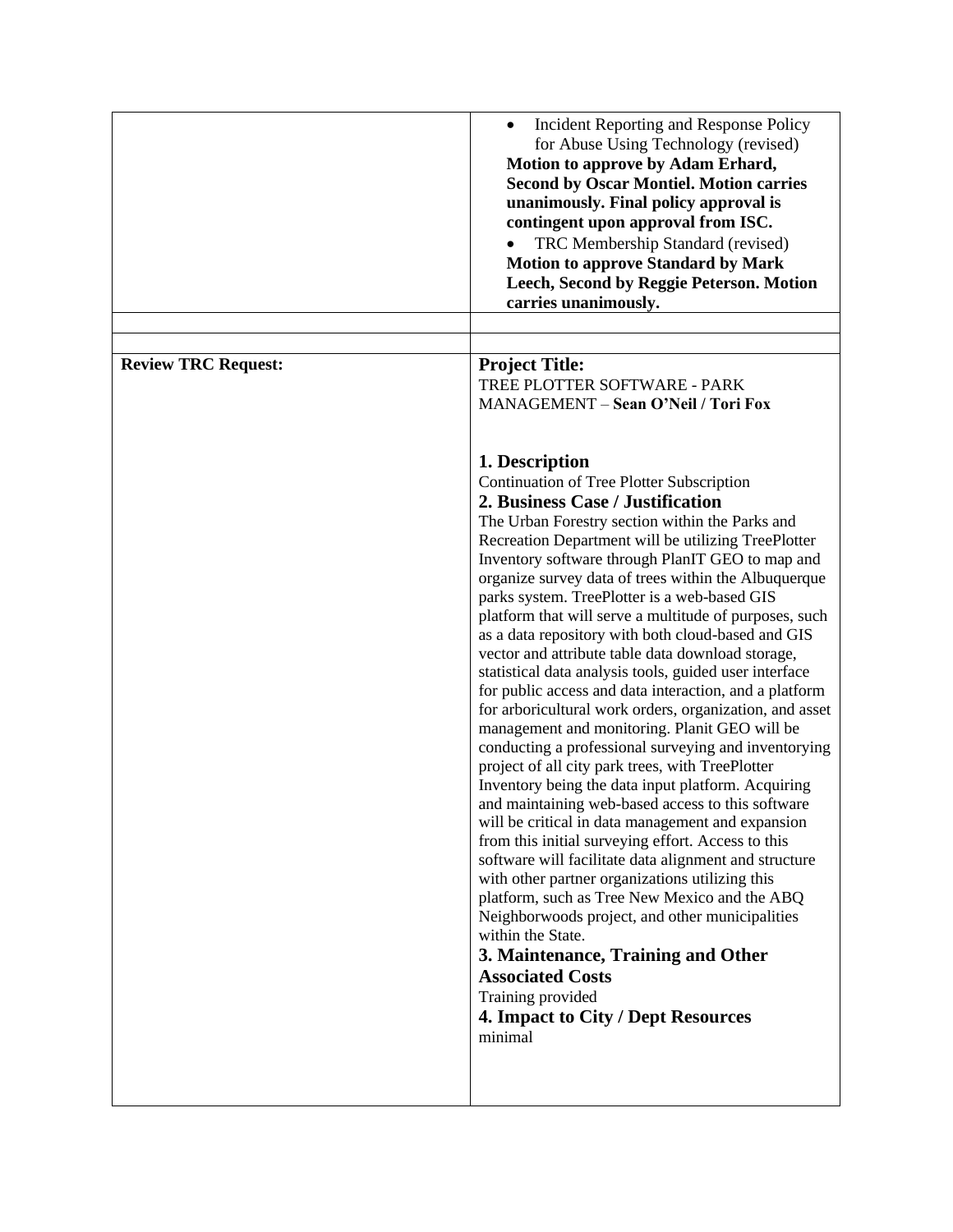|                            | Incident Reporting and Response Policy<br>$\bullet$<br>for Abuse Using Technology (revised)<br>Motion to approve by Adam Erhard,<br><b>Second by Oscar Montiel. Motion carries</b><br>unanimously. Final policy approval is<br>contingent upon approval from ISC.<br>TRC Membership Standard (revised)<br><b>Motion to approve Standard by Mark</b><br>Leech, Second by Reggie Peterson. Motion<br>carries unanimously.                                                                                                                                                                                                                                                                                                                                                                                                                                                                                                                                                                                                                                                                                                                                                                                                                                                                                                                                                                                                                                                                  |
|----------------------------|------------------------------------------------------------------------------------------------------------------------------------------------------------------------------------------------------------------------------------------------------------------------------------------------------------------------------------------------------------------------------------------------------------------------------------------------------------------------------------------------------------------------------------------------------------------------------------------------------------------------------------------------------------------------------------------------------------------------------------------------------------------------------------------------------------------------------------------------------------------------------------------------------------------------------------------------------------------------------------------------------------------------------------------------------------------------------------------------------------------------------------------------------------------------------------------------------------------------------------------------------------------------------------------------------------------------------------------------------------------------------------------------------------------------------------------------------------------------------------------|
| <b>Review TRC Request:</b> | <b>Project Title:</b><br>TREE PLOTTER SOFTWARE - PARK<br>MANAGEMENT - Sean O'Neil / Tori Fox                                                                                                                                                                                                                                                                                                                                                                                                                                                                                                                                                                                                                                                                                                                                                                                                                                                                                                                                                                                                                                                                                                                                                                                                                                                                                                                                                                                             |
|                            | 1. Description<br>Continuation of Tree Plotter Subscription<br>2. Business Case / Justification<br>The Urban Forestry section within the Parks and<br>Recreation Department will be utilizing TreePlotter<br>Inventory software through PlanIT GEO to map and<br>organize survey data of trees within the Albuquerque<br>parks system. TreePlotter is a web-based GIS<br>platform that will serve a multitude of purposes, such<br>as a data repository with both cloud-based and GIS<br>vector and attribute table data download storage,<br>statistical data analysis tools, guided user interface<br>for public access and data interaction, and a platform<br>for arboricultural work orders, organization, and asset<br>management and monitoring. Planit GEO will be<br>conducting a professional surveying and inventorying<br>project of all city park trees, with TreePlotter<br>Inventory being the data input platform. Acquiring<br>and maintaining web-based access to this software<br>will be critical in data management and expansion<br>from this initial surveying effort. Access to this<br>software will facilitate data alignment and structure<br>with other partner organizations utilizing this<br>platform, such as Tree New Mexico and the ABQ<br>Neighborwoods project, and other municipalities<br>within the State.<br>3. Maintenance, Training and Other<br><b>Associated Costs</b><br>Training provided<br>4. Impact to City / Dept Resources<br>minimal |